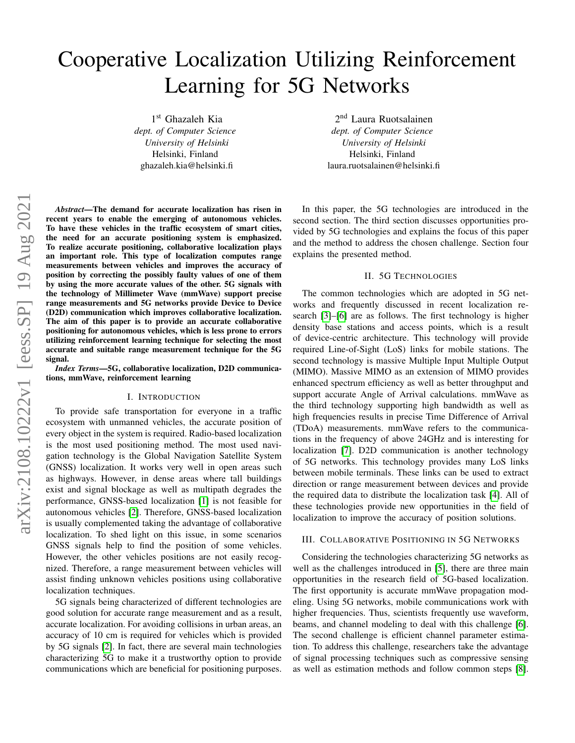# Cooperative Localization Utilizing Reinforcement Learning for 5G Networks

1 st Ghazaleh Kia *dept. of Computer Science University of Helsinki* Helsinki, Finland ghazaleh.kia@helsinki.fi

arXiv:2108.10222v1 [eess.SP] 19 Aug 2021 arXiv:2108.10222v1 [eess.SP] 19 Aug 2021

*Abstract*—The demand for accurate localization has risen in recent years to enable the emerging of autonomous vehicles. To have these vehicles in the traffic ecosystem of smart cities, the need for an accurate positioning system is emphasized. To realize accurate positioning, collaborative localization plays an important role. This type of localization computes range measurements between vehicles and improves the accuracy of position by correcting the possibly faulty values of one of them by using the more accurate values of the other. 5G signals with the technology of Millimeter Wave (mmWave) support precise range measurements and 5G networks provide Device to Device (D2D) communication which improves collaborative localization. The aim of this paper is to provide an accurate collaborative positioning for autonomous vehicles, which is less prone to errors utilizing reinforcement learning technique for selecting the most accurate and suitable range measurement technique for the 5G signal.

*Index Terms*—5G, collaborative localization, D2D communications, mmWave, reinforcement learning

### I. INTRODUCTION

To provide safe transportation for everyone in a traffic ecosystem with unmanned vehicles, the accurate position of every object in the system is required. Radio-based localization is the most used positioning method. The most used navigation technology is the Global Navigation Satellite System (GNSS) localization. It works very well in open areas such as highways. However, in dense areas where tall buildings exist and signal blockage as well as multipath degrades the performance, GNSS-based localization [\[1\]](#page-1-0) is not feasible for autonomous vehicles [\[2\]](#page-1-1). Therefore, GNSS-based localization is usually complemented taking the advantage of collaborative localization. To shed light on this issue, in some scenarios GNSS signals help to find the position of some vehicles. However, the other vehicles positions are not easily recognized. Therefore, a range measurement between vehicles will assist finding unknown vehicles positions using collaborative localization techniques.

5G signals being characterized of different technologies are good solution for accurate range measurement and as a result, accurate localization. For avoiding collisions in urban areas, an accuracy of 10 cm is required for vehicles which is provided by 5G signals [\[2\]](#page-1-1). In fact, there are several main technologies characterizing 5G to make it a trustworthy option to provide communications which are beneficial for positioning purposes.

2<sup>nd</sup> Laura Ruotsalainen *dept. of Computer Science University of Helsinki* Helsinki, Finland laura.ruotsalainen@helsinki.fi

In this paper, the 5G technologies are introduced in the second section. The third section discusses opportunities provided by 5G technologies and explains the focus of this paper and the method to address the chosen challenge. Section four explains the presented method.

## II. 5G TECHNOLOGIES

The common technologies which are adopted in 5G networks and frequently discussed in recent localization research [\[3\]](#page-1-2)–[\[6\]](#page-1-3) are as follows. The first technology is higher density base stations and access points, which is a result of device-centric architecture. This technology will provide required Line-of-Sight (LoS) links for mobile stations. The second technology is massive Multiple Input Multiple Output (MIMO). Massive MIMO as an extension of MIMO provides enhanced spectrum efficiency as well as better throughput and support accurate Angle of Arrival calculations. mmWave as the third technology supporting high bandwidth as well as high frequencies results in precise Time Difference of Arrival (TDoA) measurements. mmWave refers to the communications in the frequency of above 24GHz and is interesting for localization [\[7\]](#page-1-4). D2D communication is another technology of 5G networks. This technology provides many LoS links between mobile terminals. These links can be used to extract direction or range measurement between devices and provide the required data to distribute the localization task [\[4\]](#page-1-5). All of these technologies provide new opportunities in the field of localization to improve the accuracy of position solutions.

# III. COLLABORATIVE POSITIONING IN 5G NETWORKS

Considering the technologies characterizing 5G networks as well as the challenges introduced in [\[5\]](#page-1-6), there are three main opportunities in the research field of 5G-based localization. The first opportunity is accurate mmWave propagation modeling. Using 5G networks, mobile communications work with higher frequencies. Thus, scientists frequently use waveform, beams, and channel modeling to deal with this challenge [\[6\]](#page-1-3). The second challenge is efficient channel parameter estimation. To address this challenge, researchers take the advantage of signal processing techniques such as compressive sensing as well as estimation methods and follow common steps [\[8\]](#page-1-7).